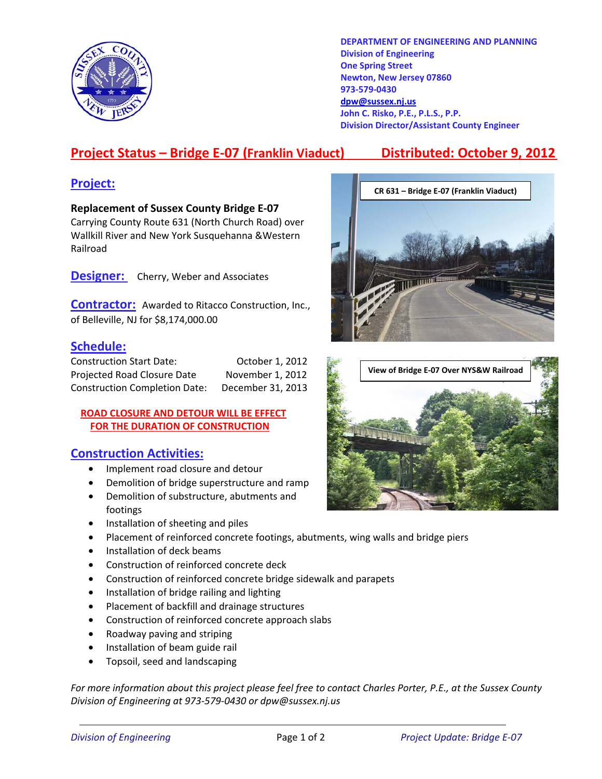

**DEPARTMENT OF ENGINEERING AND PLANNING Division of Engineering One Spring Street Newton, New Jersey 07860 973-579-0430 dpw@sussex.nj.us John C. Risko, P.E., P.L.S., P.P. Division Director/Assistant County Engineer** 

# **Project Status – Bridge E-07 (Franklin Viaduct) Distributed: October 9, 2012**

**Replacement of Sussex County Bridge E-07**  Carrying County Route 631 (North Church Road) over Wallkill River and New York Susquehanna &Western Railroad

**Designer:** Cherry, Weber and Associates

**Contractor:** Awarded to Ritacco Construction, Inc., of Belleville, NJ for \$8,174,000.00

## **Schedule:**

| <b>Construction Start Date:</b>      | October 1, 2012   |
|--------------------------------------|-------------------|
| Projected Road Closure Date          | November 1, 2012  |
| <b>Construction Completion Date:</b> | December 31, 2013 |

### **ROAD CLOSURE AND DETOUR WILL BE EFFECT FOR THE DURATION OF CONSTRUCTION**

## **Construction Activities:**

- Implement road closure and detour
- Demolition of bridge superstructure and ramp
- Demolition of substructure, abutments and footings
- Installation of sheeting and piles
- Placement of reinforced concrete footings, abutments, wing walls and bridge piers
- Installation of deck beams
- Construction of reinforced concrete deck
- Construction of reinforced concrete bridge sidewalk and parapets
- Installation of bridge railing and lighting
- Placement of backfill and drainage structures
- Construction of reinforced concrete approach slabs
- Roadway paving and striping
- Installation of beam guide rail
- Topsoil, seed and landscaping

*For more information about this project please feel free to contact Charles Porter, P.E., at the Sussex County Division of Engineering at 973-579-0430 or dpw@sussex.nj.us*